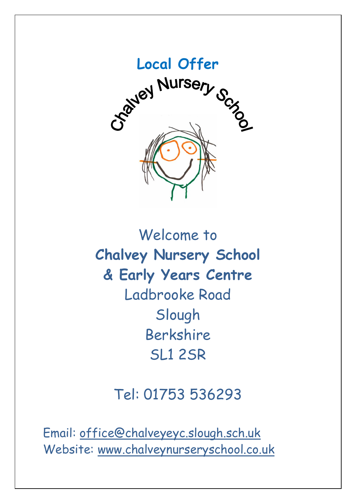

Welcome to **Chalvey Nursery School & Early Years Centre** Ladbrooke Road Slough Berkshire SL1 2SR

# Tel: 01753 536293

Email: [office@chalveyeyc.slough.sch.uk](mailto:office@chalveyeyc.slough.sch.uk) Website: www.chalveynurseryschool.co.uk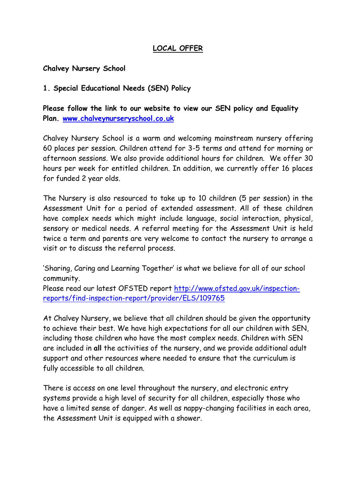## **LOCAL OFFER**

#### **Chalvey Nursery School**

#### **1. Special Educational Needs (SEN) Policy**

**Please follow the link to our website to view our SEN policy and Equality Plan. [www.chalveynurseryschool.co.uk](http://www.chalveynurseryschool.co.uk/)**

Chalvey Nursery School is a warm and welcoming mainstream nursery offering 60 places per session. Children attend for 3-5 terms and attend for morning or afternoon sessions. We also provide additional hours for children. We offer 30 hours per week for entitled children. In addition, we currently offer 16 places for funded 2 year olds.

The Nursery is also resourced to take up to 10 children (5 per session) in the Assessment Unit for a period of extended assessment. All of these children have complex needs which might include language, social interaction, physical, sensory or medical needs. A referral meeting for the Assessment Unit is held twice a term and parents are very welcome to contact the nursery to arrange a visit or to discuss the referral process.

'Sharing, Caring and Learning Together' is what we believe for all of our school community.

Please read our latest OFSTED report [http://www.ofsted.gov.uk/inspection](http://www.ofsted.gov.uk/inspection-reports/find-inspection-report/provider/ELS/109765)[reports/find-inspection-report/provider/ELS/109765](http://www.ofsted.gov.uk/inspection-reports/find-inspection-report/provider/ELS/109765)

At Chalvey Nursery, we believe that all children should be given the opportunity to achieve their best. We have high expectations for all our children with SEN, including those children who have the most complex needs. Children with SEN are included in **all** the activities of the nursery, and we provide additional adult support and other resources where needed to ensure that the curriculum is fully accessible to all children.

There is access on one level throughout the nursery, and electronic entry systems provide a high level of security for all children, especially those who have a limited sense of danger. As well as nappy-changing facilities in each area, the Assessment Unit is equipped with a shower.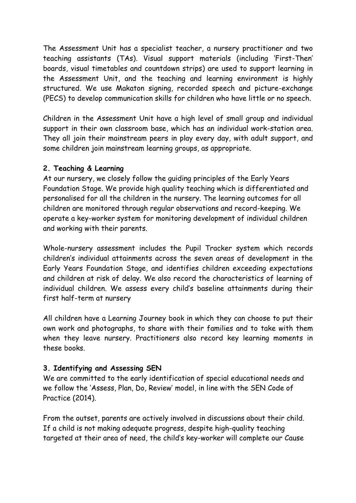The Assessment Unit has a specialist teacher, a nursery practitioner and two teaching assistants (TAs). Visual support materials (including 'First-Then' boards, visual timetables and countdown strips) are used to support learning in the Assessment Unit, and the teaching and learning environment is highly structured. We use Makaton signing, recorded speech and picture-exchange (PECS) to develop communication skills for children who have little or no speech.

Children in the Assessment Unit have a high level of small group and individual support in their own classroom base, which has an individual work-station area. They all join their mainstream peers in play every day, with adult support, and some children join mainstream learning groups, as appropriate.

## **2. Teaching & Learning**

At our nursery, we closely follow the guiding principles of the Early Years Foundation Stage. We provide high quality teaching which is differentiated and personalised for all the children in the nursery. The learning outcomes for all children are monitored through regular observations and record-keeping. We operate a key-worker system for monitoring development of individual children and working with their parents.

Whole-nursery assessment includes the Pupil Tracker system which records children's individual attainments across the seven areas of development in the Early Years Foundation Stage, and identifies children exceeding expectations and children at risk of delay. We also record the characteristics of learning of individual children. We assess every child's baseline attainments during their first half-term at nursery

All children have a Learning Journey book in which they can choose to put their own work and photographs, to share with their families and to take with them when they leave nursery. Practitioners also record key learning moments in these books.

## **3. Identifying and Assessing SEN**

We are committed to the early identification of special educational needs and we follow the 'Assess, Plan, Do, Review' model, in line with the SEN Code of Practice (2014).

From the outset, parents are actively involved in discussions about their child. If a child is not making adequate progress, despite high-quality teaching targeted at their area of need, the child's key-worker will complete our Cause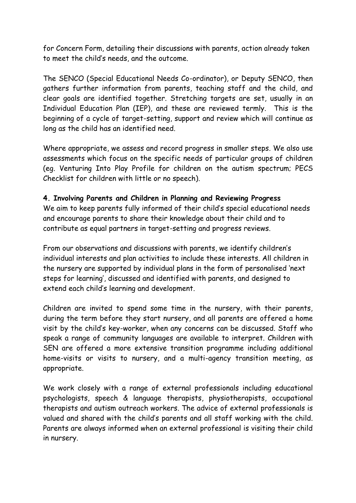for Concern Form, detailing their discussions with parents, action already taken to meet the child's needs, and the outcome.

The SENCO (Special Educational Needs Co-ordinator), or Deputy SENCO, then gathers further information from parents, teaching staff and the child, and clear goals are identified together. Stretching targets are set, usually in an Individual Education Plan (IEP), and these are reviewed termly. This is the beginning of a cycle of target-setting, support and review which will continue as long as the child has an identified need.

Where appropriate, we assess and record progress in smaller steps. We also use assessments which focus on the specific needs of particular groups of children (eg. Venturing Into Play Profile for children on the autism spectrum; PECS Checklist for children with little or no speech).

#### **4. Involving Parents and Children in Planning and Reviewing Progress**

We aim to keep parents fully informed of their child's special educational needs and encourage parents to share their knowledge about their child and to contribute as equal partners in target-setting and progress reviews.

From our observations and discussions with parents, we identify children's individual interests and plan activities to include these interests. All children in the nursery are supported by individual plans in the form of personalised 'next steps for learning', discussed and identified with parents, and designed to extend each child's learning and development.

Children are invited to spend some time in the nursery, with their parents, during the term before they start nursery, and all parents are offered a home visit by the child's key-worker, when any concerns can be discussed. Staff who speak a range of community languages are available to interpret. Children with SEN are offered a more extensive transition programme including additional home-visits or visits to nursery, and a multi-agency transition meeting, as appropriate.

We work closely with a range of external professionals including educational psychologists, speech & language therapists, physiotherapists, occupational therapists and autism outreach workers. The advice of external professionals is valued and shared with the child's parents and all staff working with the child. Parents are always informed when an external professional is visiting their child in nursery.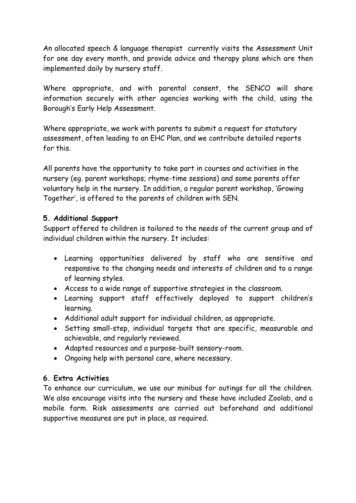An allocated speech & language therapist currently visits the Assessment Unit for one day every month, and provide advice and therapy plans which are then implemented daily by nursery staff.

Where appropriate, and with parental consent, the SENCO will share information securely with other agencies working with the child, using the Borough's Early Help Assessment.

Where appropriate, we work with parents to submit a request for statutory assessment, often leading to an EHC Plan, and we contribute detailed reports for this.

All parents have the opportunity to take part in courses and activities in the nursery (eg. parent workshops; rhyme-time sessions) and some parents offer voluntary help in the nursery. In addition, a regular parent workshop, 'Growing Together', is offered to the parents of children with SEN.

## **5. Additional Support**

Support offered to children is tailored to the needs of the current group and of individual children within the nursery. It includes:

- Learning opportunities delivered by staff who are sensitive and responsive to the changing needs and interests of children and to a range of learning styles.
- Access to a wide range of supportive strategies in the classroom.
- Learning support staff effectively deployed to support children's learning.
- Additional adult support for individual children, as appropriate.
- Setting small-step, individual targets that are specific, measurable and achievable, and regularly reviewed.
- Adapted resources and a purpose-built sensory-room.
- Ongoing help with personal care, where necessary.

# **6. Extra Activities**

To enhance our curriculum, we use our minibus for outings for all the children. We also encourage visits into the nursery and these have included Zoolab, and a mobile farm. Risk assessments are carried out beforehand and additional supportive measures are put in place, as required.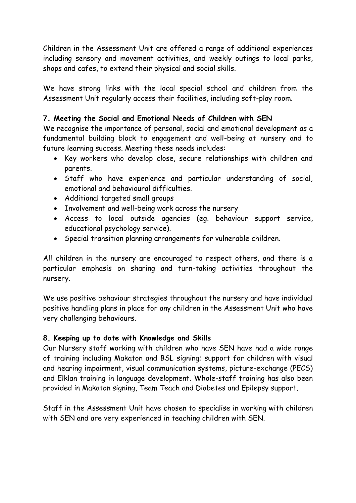Children in the Assessment Unit are offered a range of additional experiences including sensory and movement activities, and weekly outings to local parks, shops and cafes, to extend their physical and social skills.

We have strong links with the local special school and children from the Assessment Unit regularly access their facilities, including soft-play room.

## **7. Meeting the Social and Emotional Needs of Children with SEN**

We recognise the importance of personal, social and emotional development as a fundamental building block to engagement and well-being at nursery and to future learning success. Meeting these needs includes:

- Key workers who develop close, secure relationships with children and parents.
- Staff who have experience and particular understanding of social, emotional and behavioural difficulties.
- Additional targeted small groups
- Involvement and well-being work across the nursery
- Access to local outside agencies (eg. behaviour support service, educational psychology service).
- Special transition planning arrangements for vulnerable children.

All children in the nursery are encouraged to respect others, and there is a particular emphasis on sharing and turn-taking activities throughout the nursery.

We use positive behaviour strategies throughout the nursery and have individual positive handling plans in place for any children in the Assessment Unit who have very challenging behaviours.

## **8. Keeping up to date with Knowledge and Skills**

Our Nursery staff working with children who have SEN have had a wide range of training including Makaton and BSL signing; support for children with visual and hearing impairment, visual communication systems, picture-exchange (PECS) and Elklan training in language development. Whole-staff training has also been provided in Makaton signing, Team Teach and Diabetes and Epilepsy support.

Staff in the Assessment Unit have chosen to specialise in working with children with SEN and are very experienced in teaching children with SEN.